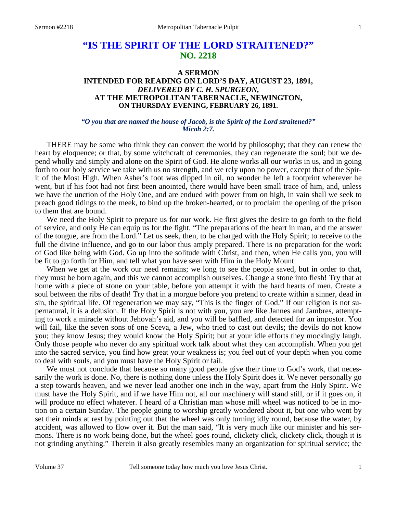## **A SERMON INTENDED FOR READING ON LORD'S DAY, AUGUST 23, 1891,**  *DELIVERED BY C. H. SPURGEON,*  **AT THE METROPOLITAN TABERNACLE, NEWINGTON, ON THURSDAY EVENING, FEBRUARY 26, 1891.**

## *"O you that are named the house of Jacob, is the Spirit of the Lord straitened?" Micah 2:7.*

THERE may be some who think they can convert the world by philosophy; that they can renew the heart by eloquence; or that, by some witchcraft of ceremonies, they can regenerate the soul; but we depend wholly and simply and alone on the Spirit of God. He alone works all our works in us, and in going forth to our holy service we take with us no strength, and we rely upon no power, except that of the Spirit of the Most High. When Asher's foot was dipped in oil, no wonder he left a footprint wherever he went, but if his foot had not first been anointed, there would have been small trace of him, and, unless we have the unction of the Holy One, and are endued with power from on high, in vain shall we seek to preach good tidings to the meek, to bind up the broken-hearted, or to proclaim the opening of the prison to them that are bound.

 We need the Holy Spirit to prepare us for our work. He first gives the desire to go forth to the field of service, and only He can equip us for the fight. "The preparations of the heart in man, and the answer of the tongue, are from the Lord." Let us seek, then, to be charged with the Holy Spirit; to receive to the full the divine influence, and go to our labor thus amply prepared. There is no preparation for the work of God like being with God. Go up into the solitude with Christ, and then, when He calls you, you will be fit to go forth for Him, and tell what you have seen with Him in the Holy Mount.

When we get at the work our need remains; we long to see the people saved, but in order to that, they must be born again, and this we cannot accomplish ourselves. Change a stone into flesh! Try that at home with a piece of stone on your table, before you attempt it with the hard hearts of men. Create a soul between the ribs of death! Try that in a morgue before you pretend to create within a sinner, dead in sin, the spiritual life. Of regeneration we may say, "This is the finger of God." If our religion is not supernatural, it is a delusion. If the Holy Spirit is not with you, you are like Jannes and Jambres, attempting to work a miracle without Jehovah's aid, and you will be baffled, and detected for an impostor. You will fail, like the seven sons of one Sceva, a Jew, who tried to cast out devils; the devils do not know you; they know Jesus; they would know the Holy Spirit; but at your idle efforts they mockingly laugh. Only those people who never do any spiritual work talk about what they can accomplish. When you get into the sacred service, you find how great your weakness is; you feel out of your depth when you come to deal with souls, and you must have the Holy Spirit or fail.

We must not conclude that because so many good people give their time to God's work, that necessarily the work is done. No, there is nothing done unless the Holy Spirit does it. We never personally go a step towards heaven, and we never lead another one inch in the way, apart from the Holy Spirit. We must have the Holy Spirit, and if we have Him not, all our machinery will stand still, or if it goes on, it will produce no effect whatever. I heard of a Christian man whose mill wheel was noticed to be in motion on a certain Sunday. The people going to worship greatly wondered about it, but one who went by set their minds at rest by pointing out that the wheel was only turning idly round, because the water, by accident, was allowed to flow over it. But the man said, "It is very much like our minister and his sermons. There is no work being done, but the wheel goes round, clickety click, clickety click, though it is not grinding anything." Therein it also greatly resembles many an organization for spiritual service; the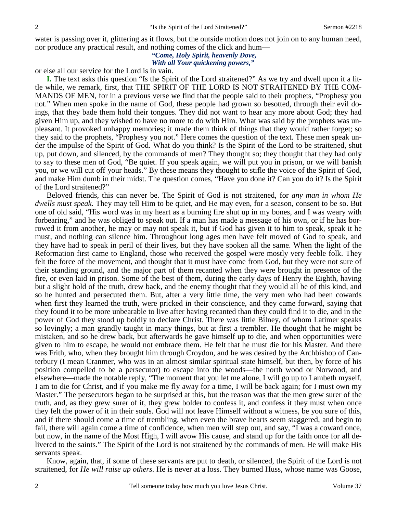water is passing over it, glittering as it flows, but the outside motion does not join on to any human need, nor produce any practical result, and nothing comes of the click and hum—

# *"Come, Holy Spirit, heavenly Dove, With all Your quickening powers,"*

or else all our service for the Lord is in vain.

**I.** The text asks this question "Is the Spirit of the Lord straitened?" As we try and dwell upon it a little while, we remark, first, that THE SPIRIT OF THE LORD IS NOT STRAITENED BY THE COM-MANDS OF MEN, for in a previous verse we find that the people said to their prophets, "Prophesy you not." When men spoke in the name of God, these people had grown so besotted, through their evil doings, that they bade them hold their tongues. They did not want to hear any more about God; they had given Him up, and they wished to have no more to do with Him. What was said by the prophets was unpleasant. It provoked unhappy memories; it made them think of things that they would rather forget; so they said to the prophets, "Prophesy you not." Here comes the question of the text. These men speak under the impulse of the Spirit of God. What do you think? Is the Spirit of the Lord to be straitened, shut up, put down, and silenced, by the commands of men? They thought so; they thought that they had only to say to these men of God, "Be quiet. If you speak again, we will put you in prison, or we will banish you, or we will cut off your heads." By these means they thought to stifle the voice of the Spirit of God, and make Him dumb in their midst. The question comes, "Have you done it? Can you do it? Is the Spirit of the Lord straitened?"

 Beloved friends, this can never be. The Spirit of God is not straitened, for *any man in whom He dwells must speak*. They may tell Him to be quiet, and He may even, for a season, consent to be so. But one of old said, "His word was in my heart as a burning fire shut up in my bones, and I was weary with forbearing," and he was obliged to speak out. If a man has made a message of his own, or if he has borrowed it from another, he may or may not speak it, but if God has given it to him to speak, speak it he must, and nothing can silence him. Throughout long ages men have felt moved of God to speak, and they have had to speak in peril of their lives, but they have spoken all the same. When the light of the Reformation first came to England, those who received the gospel were mostly very feeble folk. They felt the force of the movement, and thought that it must have come from God, but they were not sure of their standing ground, and the major part of them recanted when they were brought in presence of the fire, or even laid in prison. Some of the best of them, during the early days of Henry the Eighth, having but a slight hold of the truth, drew back, and the enemy thought that they would all be of this kind, and so he hunted and persecuted them. But, after a very little time, the very men who had been cowards when first they learned the truth, were pricked in their conscience, and they came forward, saying that they found it to be more unbearable to live after having recanted than they could find it to die, and in the power of God they stood up boldly to declare Christ. There was little Bilney, of whom Latimer speaks so lovingly; a man grandly taught in many things, but at first a trembler. He thought that he might be mistaken, and so he drew back, but afterwards he gave himself up to die, and when opportunities were given to him to escape, he would not embrace them. He felt that he must die for his Master. And there was Frith, who, when they brought him through Croydon, and he was desired by the Archbishop of Canterbury (I mean Cranmer, who was in an almost similar spiritual state himself, but then, by force of his position compelled to be a persecutor) to escape into the woods—the north wood or Norwood, and elsewhere—made the notable reply, "The moment that you let me alone, I will go up to Lambeth myself. I am to die for Christ, and if you make me fly away for a time, I will be back again; for I must own my Master." The persecutors began to be surprised at this, but the reason was that the men grew surer of the truth, and, as they grew surer of it, they grew bolder to confess it, and confess it they must when once they felt the power of it in their souls. God will not leave Himself without a witness, be you sure of this, and if there should come a time of trembling, when even the brave hearts seem staggered, and begin to fail, there will again come a time of confidence, when men will step out, and say, "I was a coward once, but now, in the name of the Most High, I will avow His cause, and stand up for the faith once for all delivered to the saints." The Spirit of the Lord is not straitened by the commands of men. He will make His servants speak.

 Know, again, that, if some of these servants are put to death, or silenced, the Spirit of the Lord is not straitened, for *He will raise up others*. He is never at a loss. They burned Huss, whose name was Goose,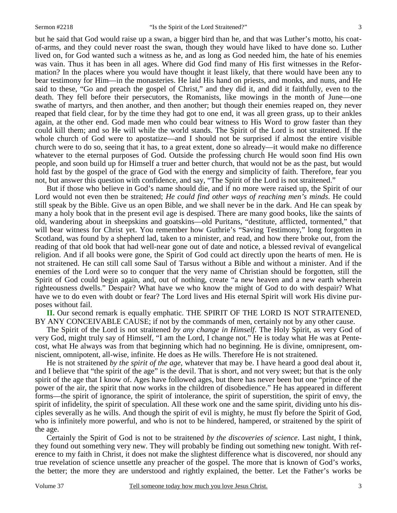but he said that God would raise up a swan, a bigger bird than he, and that was Luther's motto, his coatof-arms, and they could never roast the swan, though they would have liked to have done so. Luther lived on, for God wanted such a witness as he, and as long as God needed him, the hate of his enemies was vain. Thus it has been in all ages. Where did God find many of His first witnesses in the Reformation? In the places where you would have thought it least likely, that there would have been any to bear testimony for Him—in the monasteries. He laid His hand on priests, and monks, and nuns, and He said to these, "Go and preach the gospel of Christ," and they did it, and did it faithfully, even to the death. They fell before their persecutors, the Romanists, like mowings in the month of June—one swathe of martyrs, and then another, and then another; but though their enemies reaped on, they never reaped that field clear, for by the time they had got to one end, it was all green grass, up to their ankles again, at the other end. God made men who could bear witness to His Word to grow faster than they could kill them; and so He will while the world stands. The Spirit of the Lord is not straitened. If the whole church of God were to apostatize—and I should not be surprised if almost the entire visible church were to do so, seeing that it has, to a great extent, done so already—it would make no difference whatever to the eternal purposes of God. Outside the professing church He would soon find His own people, and soon build up for Himself a truer and better church, that would not be as the past, but would hold fast by the gospel of the grace of God with the energy and simplicity of faith. Therefore, fear you not, but answer this question with confidence, and say, "The Spirit of the Lord is not straitened."

 But if those who believe in God's name should die, and if no more were raised up, the Spirit of our Lord would not even then be straitened; *He could find other ways of reaching men's minds*. He could still speak by the Bible. Give us an open Bible, and we shall never be in the dark. And He can speak by many a holy book that in the present evil age is despised. There are many good books, like the saints of old, wandering about in sheepskins and goatskins—old Puritans, "destitute, afflicted, tormented," that will bear witness for Christ yet. You remember how Guthrie's "Saving Testimony," long forgotten in Scotland, was found by a shepherd lad, taken to a minister, and read, and how there broke out, from the reading of that old book that had well-near gone out of date and notice, a blessed revival of evangelical religion. And if all books were gone, the Spirit of God could act directly upon the hearts of men. He is not straitened. He can still call some Saul of Tarsus without a Bible and without a minister. And if the enemies of the Lord were so to conquer that the very name of Christian should be forgotten, still the Spirit of God could begin again, and, out of nothing, create "a new heaven and a new earth wherein righteousness dwells." Despair? What have we who know the might of God to do with despair? What have we to do even with doubt or fear? The Lord lives and His eternal Spirit will work His divine purposes without fail.

**II.** Our second remark is equally emphatic. THE SPIRIT OF THE LORD IS NOT STRAITENED, BY ANY CONCEIVABLE CAUSE; if not by the commands of men, certainly not by any other cause.

 The Spirit of the Lord is not straitened *by any change in Himself*. The Holy Spirit, as very God of very God, might truly say of Himself, "I am the Lord, I change not." He is today what He was at Pentecost, what He always was from that beginning which had no beginning. He is divine, omnipresent, omniscient, omnipotent, all-wise, infinite. He does as He wills. Therefore He is not straitened.

 He is not straitened *by the spirit of the age,* whatever that may be. I have heard a good deal about it, and I believe that "the spirit of the age" is the devil. That is short, and not very sweet; but that is the only spirit of the age that I know of. Ages have followed ages, but there has never been but one "prince of the power of the air, the spirit that now works in the children of disobedience." He has appeared in different forms—the spirit of ignorance, the spirit of intolerance, the spirit of superstition, the spirit of envy, the spirit of infidelity, the spirit of speculation. All these work one and the same spirit, dividing unto his disciples severally as he wills. And though the spirit of evil is mighty, he must fly before the Spirit of God, who is infinitely more powerful, and who is not to be hindered, hampered, or straitened by the spirit of the age.

 Certainly the Spirit of God is not to be straitened *by the discoveries of science*. Last night, I think, they found out something very new. They will probably be finding out something new tonight. With reference to my faith in Christ, it does not make the slightest difference what is discovered, nor should any true revelation of science unsettle any preacher of the gospel. The more that is known of God's works, the better; the more they are understood and rightly explained, the better. Let the Father's works be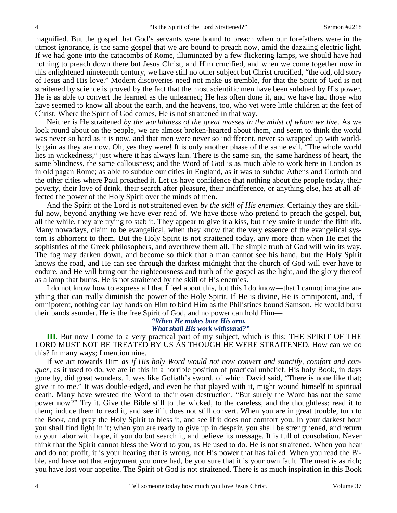magnified. But the gospel that God's servants were bound to preach when our forefathers were in the utmost ignorance, is the same gospel that we are bound to preach now, amid the dazzling electric light. If we had gone into the catacombs of Rome, illuminated by a few flickering lamps, we should have had nothing to preach down there but Jesus Christ, and Him crucified, and when we come together now in this enlightened nineteenth century, we have still no other subject but Christ crucified, "the old, old story of Jesus and His love." Modern discoveries need not make us tremble, for that the Spirit of God is not straitened by science is proved by the fact that the most scientific men have been subdued by His power. He is as able to convert the learned as the unlearned; He has often done it, and we have had those who have seemed to know all about the earth, and the heavens, too, who yet were little children at the feet of Christ. Where the Spirit of God comes, He is not straitened in that way.

 Neither is He straitened *by the worldliness of the great masses in the midst of whom we live*. As we look round about on the people, we are almost broken-hearted about them, and seem to think the world was never so hard as it is now, and that men were never so indifferent, never so wrapped up with worldly gain as they are now. Oh, yes they were! It is only another phase of the same evil. "The whole world lies in wickedness," just where it has always lain. There is the same sin, the same hardness of heart, the same blindness, the same callousness; and the Word of God is as much able to work here in London as in old pagan Rome; as able to subdue our cities in England, as it was to subdue Athens and Corinth and the other cities where Paul preached it. Let us have confidence that nothing about the people today, their poverty, their love of drink, their search after pleasure, their indifference, or anything else, has at all affected the power of the Holy Spirit over the minds of men.

 And the Spirit of the Lord is not straitened even *by the skill of His enemies*. Certainly they are skillful now, beyond anything we have ever read of. We have those who pretend to preach the gospel, but, all the while, they are trying to stab it. They appear to give it a kiss, but they smite it under the fifth rib. Many nowadays, claim to be evangelical, when they know that the very essence of the evangelical system is abhorrent to them. But the Holy Spirit is not straitened today, any more than when He met the sophistries of the Greek philosophers, and overthrew them all. The simple truth of God will win its way. The fog may darken down, and become so thick that a man cannot see his hand, but the Holy Spirit knows the road, and He can see through the darkest midnight that the church of God will ever have to endure, and He will bring out the righteousness and truth of the gospel as the light, and the glory thereof as a lamp that burns. He is not straitened by the skill of His enemies.

 I do not know how to express all that I feel about this, but this I do know—that I cannot imagine anything that can really diminish the power of the Holy Spirit. If He is divine, He is omnipotent, and, if omnipotent, nothing can lay hands on Him to bind Him as the Philistines bound Samson. He would burst their bands asunder. He is the free Spirit of God, and no power can hold Him—

#### *"When He makes bare His arm, What shall His work withstand?"*

**III.** But now I come to a very practical part of my subject, which is this; THE SPIRIT OF THE LORD MUST NOT BE TREATED BY US AS THOUGH HE WERE STRAITENED. How can we do this? In many ways; I mention nine.

 If we act towards Him *as if His holy Word would not now convert and sanctify, comfort and conquer,* as it used to do, we are in this in a horrible position of practical unbelief. His holy Book, in days gone by, did great wonders. It was like Goliath's sword, of which David said, "There is none like that; give it to me." It was double-edged, and even he that played with it, might wound himself to spiritual death. Many have wrested the Word to their own destruction. "But surely the Word has not the same power now?" Try it. Give the Bible still to the wicked, to the careless, and the thoughtless; read it to them; induce them to read it, and see if it does not still convert. When you are in great trouble, turn to the Book, and pray the Holy Spirit to bless it, and see if it does not comfort you. In your darkest hour you shall find light in it; when you are ready to give up in despair, you shall be strengthened, and return to your labor with hope, if you do but search it, and believe its message. It is full of consolation. Never think that the Spirit cannot bless the Word to you, as He used to do. He is not straitened. When you hear and do not profit, it is your hearing that is wrong, not His power that has failed. When you read the Bible, and have not that enjoyment you once had, be you sure that it is your own fault. The meat is as rich; you have lost your appetite. The Spirit of God is not straitened. There is as much inspiration in this Book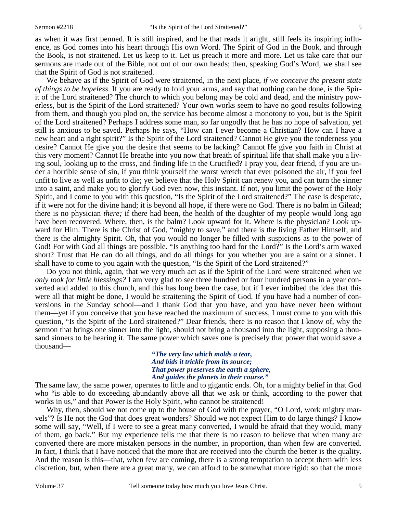as when it was first penned. It is still inspired, and he that reads it aright, still feels its inspiring influence, as God comes into his heart through His own Word. The Spirit of God in the Book, and through the Book, is not straitened. Let us keep to it. Let us preach it more and more. Let us take care that our sermons are made out of the Bible, not out of our own heads; then, speaking God's Word, we shall see that the Spirit of God is not straitened.

 We behave as if the Spirit of God were straitened, in the next place, *if we conceive the present state of things to be hopeless*. If you are ready to fold your arms, and say that nothing can be done, is the Spirit of the Lord straitened? The church to which you belong may be cold and dead, and the ministry powerless, but is the Spirit of the Lord straitened? Your own works seem to have no good results following from them, and though you plod on, the service has become almost a monotony to you, but is the Spirit of the Lord straitened? Perhaps I address some man, so far ungodly that he has no hope of salvation, yet still is anxious to be saved. Perhaps he says, "How can I ever become a Christian? How can I have a new heart and a right spirit?" Is the Spirit of the Lord straitened? Cannot He give you the tenderness you desire? Cannot He give you the desire that seems to be lacking? Cannot He give you faith in Christ at this very moment? Cannot He breathe into you now that breath of spiritual life that shall make you a living soul, looking up to the cross, and finding life in the Crucified? I pray you, dear friend, if you are under a horrible sense of sin, if you think yourself the worst wretch that ever poisoned the air, if you feel unfit to live as well as unfit to die; yet believe that the Holy Spirit can renew you, and can turn the sinner into a saint, and make you to glorify God even now, this instant. If not, you limit the power of the Holy Spirit, and I come to you with this question, "Is the Spirit of the Lord straitened?" The case is desperate, if it were not for the divine hand; it is beyond all hope, if there were no God. There is no balm in Gilead; there is no physician *there;* if there had been, the health of the daughter of my people would long ago have been recovered. Where, then, is the balm? Look upward for it. Where is the physician? Look upward for Him. There is the Christ of God, "mighty to save," and there is the living Father Himself, and there is the almighty Spirit. Oh, that you would no longer be filled with suspicions as to the power of God! For with God all things are possible. "Is anything too hard for the Lord?" Is the Lord's arm waxed short? Trust that He can do all things, and do all things for you whether you are a saint or a sinner. I shall have to come to you again with the question, "Is the Spirit of the Lord straitened?"

 Do you not think, again, that we very much act as if the Spirit of the Lord were straitened *when we only look for little blessings?* I am very glad to see three hundred or four hundred persons in a year converted and added to this church, and this has long been the case, but if I ever imbibed the idea that this were all that might be done, I would be straitening the Spirit of God. If you have had a number of conversions in the Sunday school—and I thank God that you have, and you have never been without them—yet if you conceive that you have reached the maximum of success, I must come to you with this question, "Is the Spirit of the Lord straitened?" Dear friends, there is no reason that I know of, why the sermon that brings one sinner into the light, should not bring a thousand into the light, supposing a thousand sinners to be hearing it. The same power which saves one is precisely that power that would save a thousand—

> *"The very law which molds a tear, And bids it trickle from its source; That power preserves the earth a sphere, And guides the planets in their course."*

The same law, the same power, operates to little and to gigantic ends. Oh, for a mighty belief in that God who "is able to do exceeding abundantly above all that we ask or think, according to the power that works in us," and that Power is the Holy Spirit, who cannot be straitened!

 Why, then, should we not come up to the house of God with the prayer, "O Lord, work mighty marvels"? Is He not the God that does great wonders? Should we not expect Him to do large things? I know some will say, "Well, if I were to see a great many converted, I would be afraid that they would, many of them, go back." But my experience tells me that there is no reason to believe that when many are converted there are more mistaken persons in the number, in proportion, than when few are converted. In fact, I think that I have noticed that the more that are received into the church the better is the quality. And the reason is this—that, when few are coming, there is a strong temptation to accept them with less discretion, but, when there are a great many, we can afford to be somewhat more rigid; so that the more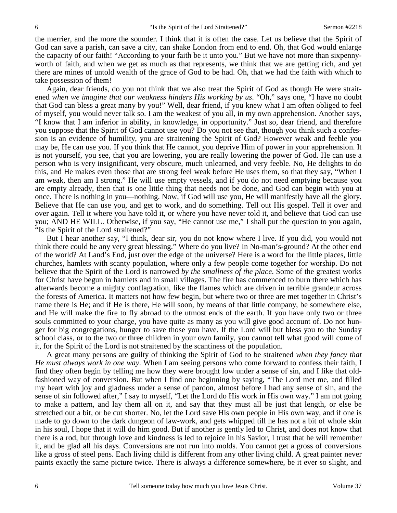the merrier, and the more the sounder. I think that it is often the case. Let us believe that the Spirit of God can save a parish, can save a city, can shake London from end to end. Oh, that God would enlarge the capacity of our faith! "According to your faith be it unto you." But we have not more than sixpennyworth of faith, and when we get as much as that represents, we think that we are getting rich, and yet there are mines of untold wealth of the grace of God to be had. Oh, that we had the faith with which to take possession of them!

 Again, dear friends, do you not think that we also treat the Spirit of God as though He were straitened *when we imagine that our weakness hinders His working by us*. "Oh," says one, "I have no doubt that God can bless a great many by you!" Well, dear friend, if you knew what I am often obliged to feel of myself, you would never talk so. I am the weakest of you all, in my own apprehension. Another says, "I know that I am inferior in ability, in knowledge, in opportunity." Just so, dear friend, and therefore you suppose that the Spirit of God cannot use you? Do you not see that, though you think such a confession is an evidence of humility, you are straitening the Spirit of God? However weak and feeble you may be, He can use you. If you think that He cannot, you deprive Him of power in your apprehension. It is not yourself, you see, that you are lowering, you are really lowering the power of God. He can use a person who is very insignificant, very obscure, much unlearned, and very feeble. No, He delights to do this, and He makes even those that are strong feel weak before He uses them, so that they say, "When I am weak, then am I strong." He will use empty vessels, and if you do not need emptying because you are empty already, then that is one little thing that needs not be done, and God can begin with you at once. There is nothing in you—nothing. Now, if God will use you, He will manifestly have all the glory. Believe that He can use you, and get to work, and do something. Tell out His gospel. Tell it over and over again. Tell it where you have told it, or where you have never told it, and believe that God can use you; AND HE WILL. Otherwise, if you say, "He cannot use me," I shall put the question to you again, "Is the Spirit of the Lord straitened?"

 But I hear another say, "I think, dear sir, you do not know where I live. If you did, you would not think there could be any very great blessing." Where do you live? In No-man's-ground? At the other end of the world? At Land's End, just over the edge of the universe? Here is a word for the little places, little churches, hamlets with scanty population, where only a few people come together for worship. Do not believe that the Spirit of the Lord is narrowed *by the smallness of the place*. Some of the greatest works for Christ have begun in hamlets and in small villages. The fire has commenced to burn there which has afterwards become a mighty conflagration, like the flames which are driven in terrible grandeur across the forests of America. It matters not how few begin, but where two or three are met together in Christ's name there is He; and if He is there, He will soon, by means of that little company, be somewhere else, and He will make the fire to fly abroad to the utmost ends of the earth. If you have only two or three souls committed to your charge, you have quite as many as you will give good account of. Do not hunger for big congregations, hunger to save those you have. If the Lord will but bless you to the Sunday school class, or to the two or three children in your own family, you cannot tell what good will come of it, for the Spirit of the Lord is not straitened by the scantiness of the population.

 A great many persons are guilty of thinking the Spirit of God to be straitened *when they fancy that He must always work in one way*. When I am seeing persons who come forward to confess their faith, I find they often begin by telling me how they were brought low under a sense of sin, and I like that oldfashioned way of conversion. But when I find one beginning by saying, "The Lord met me, and filled my heart with joy and gladness under a sense of pardon, almost before I had any sense of sin, and the sense of sin followed after," I say to myself, "Let the Lord do His work in His own way." I am not going to make a pattern, and lay them all on it, and say that they must all be just that length, or else be stretched out a bit, or be cut shorter. No, let the Lord save His own people in His own way, and if one is made to go down to the dark dungeon of law-work, and gets whipped till he has not a bit of whole skin in his soul, I hope that it will do him good. But if another is gently led to Christ, and does not know that there is a rod, but through love and kindness is led to rejoice in his Savior, I trust that he will remember it, and be glad all his days. Conversions are not run into molds. You cannot get a gross of conversions like a gross of steel pens. Each living child is different from any other living child. A great painter never paints exactly the same picture twice. There is always a difference somewhere, be it ever so slight, and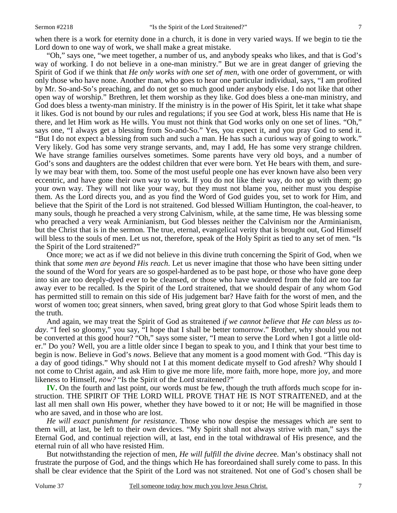when there is a work for eternity done in a church, it is done in very varied ways. If we begin to tie the Lord down to one way of work, we shall make a great mistake.

 "Oh," says one, "we meet together, a number of us, and anybody speaks who likes, and that is God's way of working. I do not believe in a one-man ministry." But we are in great danger of grieving the Spirit of God if we think that *He only works with one set of men,* with one order of government, or with only those who have none. Another man, who goes to hear one particular individual, says, "I am profited by Mr. So-and-So's preaching, and do not get so much good under anybody else. I do not like that other open way of worship." Brethren, let them worship as they like. God does bless a one-man ministry, and God does bless a twenty-man ministry. If the ministry is in the power of His Spirit, let it take what shape it likes. God is not bound by our rules and regulations; if you see God at work, bless His name that He is there, and let Him work as He wills. You must not think that God works only on one set of lines. "Oh," says one, "I always get a blessing from So-and-So." Yes, you expect it, and you pray God to send it. "But I do not expect a blessing from such and such a man. He has such a curious way of going to work." Very likely. God has some very strange servants, and, may I add, He has some very strange children. We have strange families ourselves sometimes. Some parents have very old boys, and a number of God's sons and daughters are the oddest children that ever were born. Yet He bears with them, and surely we may bear with them, too. Some of the most useful people one has ever known have also been very eccentric, and have gone their own way to work. If you do not like their way, do not go with them; go your own way. They will not like your way, but they must not blame you, neither must you despise them. As the Lord directs you, and as you find the Word of God guides you, set to work for Him, and believe that the Spirit of the Lord is not straitened. God blessed William Huntington, the coal-heaver, to many souls, though he preached a very strong Calvinism, while, at the same time, He was blessing some who preached a very weak Arminianism, but God blesses neither the Calvinism nor the Arminianism, but the Christ that is in the sermon. The true, eternal, evangelical verity that is brought out, God Himself will bless to the souls of men. Let us not, therefore, speak of the Holy Spirit as tied to any set of men. "Is the Spirit of the Lord straitened?"

 Once more; we act as if we did not believe in this divine truth concerning the Spirit of God, when we think that *some men are beyond His reach*. Let us never imagine that those who have been sitting under the sound of the Word for years are so gospel-hardened as to be past hope, or those who have gone deep into sin are too deeply-dyed ever to be cleansed, or those who have wandered from the fold are too far away ever to be recalled. Is the Spirit of the Lord straitened, that we should despair of any whom God has permitted still to remain on this side of His judgement bar? Have faith for the worst of men, and the worst of women too; great sinners, when saved, bring great glory to that God whose Spirit leads them to the truth.

 And again, we may treat the Spirit of God as straitened *if we cannot believe that He can bless us today*. "I feel so gloomy," you say, "I hope that I shall be better tomorrow." Brother, why should you not be converted at this good hour? "Oh," says some sister, "I mean to serve the Lord when I got a little older." Do you? Well, you are a little older since I began to speak to you, and I think that your best time to begin is now. Believe in God's *nows*. Believe that any moment is a good moment with God. "This day is a day of good tidings." Why should not I at this moment dedicate myself to God afresh? Why should I not come to Christ again, and ask Him to give me more life, more faith, more hope, more joy, and more likeness to Himself, *now?* "Is the Spirit of the Lord straitened?"

**IV.** On the fourth and last point, our words must be few, though the truth affords much scope for instruction. THE SPIRIT OF THE LORD WILL PROVE THAT HE IS NOT STRAITENED, and at the last all men shall own His power, whether they have bowed to it or not; He will be magnified in those who are saved, and in those who are lost.

*He will exact punishment for resistance*. Those who now despise the messages which are sent to them will, at last, be left to their own devices. "My Spirit shall not always strive with man," says the Eternal God, and continual rejection will, at last, end in the total withdrawal of His presence, and the eternal ruin of all who have resisted Him.

 But notwithstanding the rejection of men, *He will fulfill the divine decre*e. Man's obstinacy shall not frustrate the purpose of God, and the things which He has foreordained shall surely come to pass. In this shall be clear evidence that the Spirit of the Lord was not straitened. Not one of God's chosen shall be